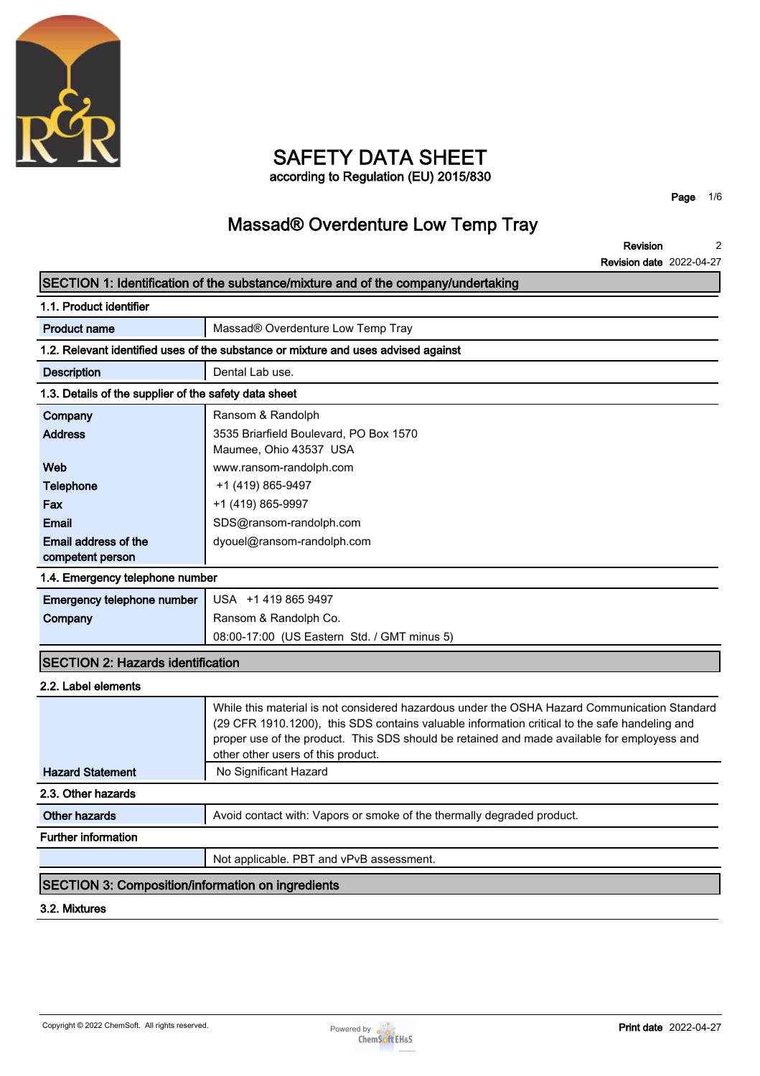

### **SAFETY DATA SHEET according to Regulation (EU) 2015/830**

**Page 1/6**

# **Massad® Overdenture Low Temp Tray**

**Revision Revision date 2022-04-27 2**

|                                                          | INGVISIOII UQUG ZUZZ-V4-Z                                                                                                                                                                                                                                                                                                          |
|----------------------------------------------------------|------------------------------------------------------------------------------------------------------------------------------------------------------------------------------------------------------------------------------------------------------------------------------------------------------------------------------------|
|                                                          | SECTION 1: Identification of the substance/mixture and of the company/undertaking                                                                                                                                                                                                                                                  |
| 1.1. Product identifier                                  |                                                                                                                                                                                                                                                                                                                                    |
| <b>Product name</b>                                      | Massad® Overdenture Low Temp Tray                                                                                                                                                                                                                                                                                                  |
|                                                          | 1.2. Relevant identified uses of the substance or mixture and uses advised against                                                                                                                                                                                                                                                 |
| <b>Description</b>                                       | Dental Lab use.                                                                                                                                                                                                                                                                                                                    |
| 1.3. Details of the supplier of the safety data sheet    |                                                                                                                                                                                                                                                                                                                                    |
| Company                                                  | Ransom & Randolph                                                                                                                                                                                                                                                                                                                  |
| <b>Address</b>                                           | 3535 Briarfield Boulevard, PO Box 1570                                                                                                                                                                                                                                                                                             |
|                                                          | Maumee, Ohio 43537 USA                                                                                                                                                                                                                                                                                                             |
| Web                                                      | www.ransom-randolph.com                                                                                                                                                                                                                                                                                                            |
| <b>Telephone</b>                                         | +1 (419) 865-9497                                                                                                                                                                                                                                                                                                                  |
| Fax                                                      | +1 (419) 865-9997                                                                                                                                                                                                                                                                                                                  |
| <b>Email</b>                                             | SDS@ransom-randolph.com                                                                                                                                                                                                                                                                                                            |
| Email address of the                                     | dyouel@ransom-randolph.com                                                                                                                                                                                                                                                                                                         |
| competent person                                         |                                                                                                                                                                                                                                                                                                                                    |
| 1.4. Emergency telephone number                          |                                                                                                                                                                                                                                                                                                                                    |
| Emergency telephone number                               | USA +14198659497                                                                                                                                                                                                                                                                                                                   |
| Company                                                  | Ransom & Randolph Co.                                                                                                                                                                                                                                                                                                              |
|                                                          | 08:00-17:00 (US Eastern Std. / GMT minus 5)                                                                                                                                                                                                                                                                                        |
| <b>SECTION 2: Hazards identification</b>                 |                                                                                                                                                                                                                                                                                                                                    |
| 2.2. Label elements                                      |                                                                                                                                                                                                                                                                                                                                    |
|                                                          | While this material is not considered hazardous under the OSHA Hazard Communication Standard<br>(29 CFR 1910.1200), this SDS contains valuable information critical to the safe handeling and<br>proper use of the product. This SDS should be retained and made available for employess and<br>other other users of this product. |
| <b>Hazard Statement</b>                                  | No Significant Hazard                                                                                                                                                                                                                                                                                                              |
| 2.3. Other hazards                                       |                                                                                                                                                                                                                                                                                                                                    |
| <b>Other hazards</b>                                     | Avoid contact with: Vapors or smoke of the thermally degraded product.                                                                                                                                                                                                                                                             |
| <b>Further information</b>                               |                                                                                                                                                                                                                                                                                                                                    |
|                                                          | Not applicable. PBT and vPvB assessment.                                                                                                                                                                                                                                                                                           |
| <b>SECTION 3: Composition/information on ingredients</b> |                                                                                                                                                                                                                                                                                                                                    |
| 3.2. Mixtures                                            |                                                                                                                                                                                                                                                                                                                                    |
|                                                          |                                                                                                                                                                                                                                                                                                                                    |

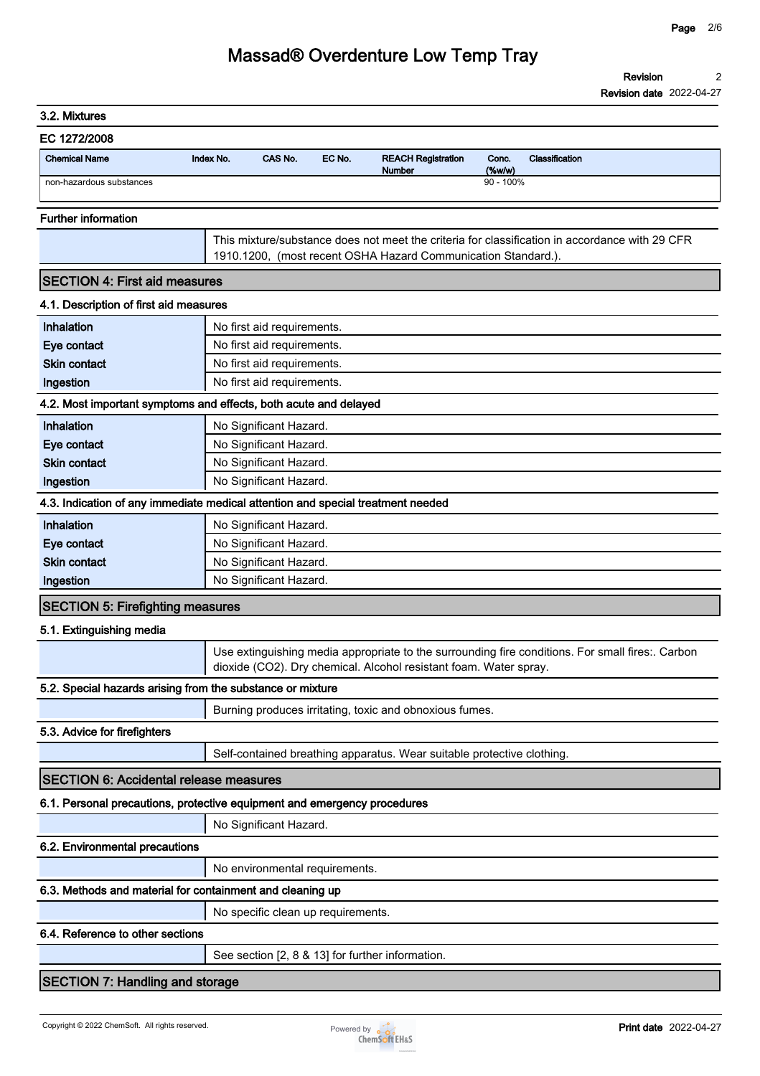| 3.2. Mixtures                                 |                                                                                                                                                                       |
|-----------------------------------------------|-----------------------------------------------------------------------------------------------------------------------------------------------------------------------|
| EC 1272/2008                                  |                                                                                                                                                                       |
| <b>Chemical Name</b>                          | CAS No.<br>EC No.<br>Conc.<br>Index No.<br><b>REACH Registration</b><br>Classification<br>(%<br>Number                                                                |
| non-hazardous substances                      | $90 - 100\%$                                                                                                                                                          |
| <b>Further information</b>                    |                                                                                                                                                                       |
|                                               | This mixture/substance does not meet the criteria for classification in accordance with 29 CFR                                                                        |
|                                               | 1910.1200, (most recent OSHA Hazard Communication Standard.).                                                                                                         |
| <b>SECTION 4: First aid measures</b>          |                                                                                                                                                                       |
| 4.1. Description of first aid measures        |                                                                                                                                                                       |
| Inhalation                                    | No first aid requirements.                                                                                                                                            |
| Eye contact                                   | No first aid requirements.                                                                                                                                            |
| <b>Skin contact</b>                           | No first aid requirements.                                                                                                                                            |
| Ingestion                                     | No first aid requirements.                                                                                                                                            |
|                                               | 4.2. Most important symptoms and effects, both acute and delayed                                                                                                      |
| Inhalation                                    | No Significant Hazard.                                                                                                                                                |
| Eye contact                                   | No Significant Hazard.                                                                                                                                                |
| <b>Skin contact</b>                           | No Significant Hazard.                                                                                                                                                |
| Ingestion                                     | No Significant Hazard.                                                                                                                                                |
|                                               | 4.3. Indication of any immediate medical attention and special treatment needed                                                                                       |
| Inhalation                                    | No Significant Hazard.                                                                                                                                                |
| Eye contact                                   | No Significant Hazard.                                                                                                                                                |
| <b>Skin contact</b>                           | No Significant Hazard.                                                                                                                                                |
| Ingestion                                     | No Significant Hazard.                                                                                                                                                |
| <b>SECTION 5: Firefighting measures</b>       |                                                                                                                                                                       |
| 5.1. Extinguishing media                      |                                                                                                                                                                       |
|                                               | Use extinguishing media appropriate to the surrounding fire conditions. For small fires:. Carbon<br>dioxide (CO2). Dry chemical. Alcohol resistant foam. Water spray. |
|                                               | 5.2. Special hazards arising from the substance or mixture                                                                                                            |
|                                               | Burning produces irritating, toxic and obnoxious fumes.                                                                                                               |
| 5.3. Advice for firefighters                  |                                                                                                                                                                       |
|                                               | Self-contained breathing apparatus. Wear suitable protective clothing.                                                                                                |
| <b>SECTION 6: Accidental release measures</b> |                                                                                                                                                                       |
|                                               | 6.1. Personal precautions, protective equipment and emergency procedures                                                                                              |
|                                               | No Significant Hazard.                                                                                                                                                |
| 6.2. Environmental precautions                |                                                                                                                                                                       |
|                                               | No environmental requirements.                                                                                                                                        |
|                                               | 6.3. Methods and material for containment and cleaning up                                                                                                             |
|                                               |                                                                                                                                                                       |
|                                               | No specific clean up requirements.                                                                                                                                    |
| 6.4. Reference to other sections              |                                                                                                                                                                       |
|                                               | See section [2, 8 & 13] for further information.                                                                                                                      |
| <b>SECTION 7: Handling and storage</b>        |                                                                                                                                                                       |

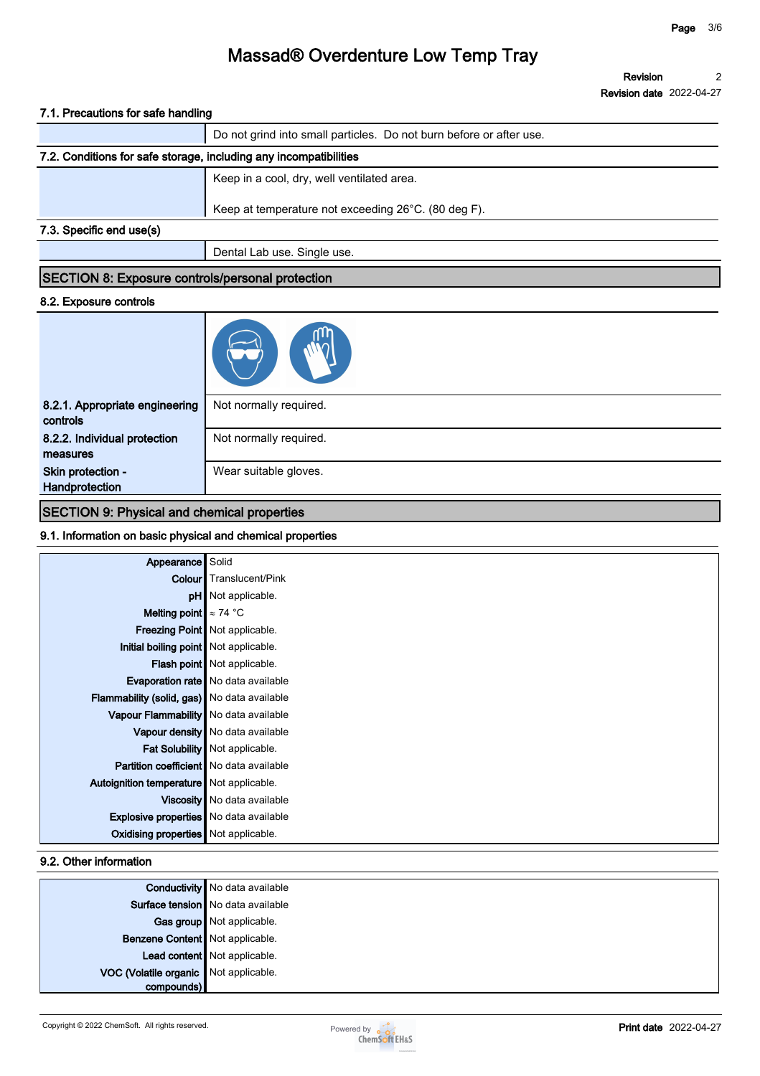**Revision Revision date 2022-04-27 2**

#### **7.1. Precautions for safe handling**

|                                                                   | Do not grind into small particles. Do not burn before or after use. |
|-------------------------------------------------------------------|---------------------------------------------------------------------|
| 7.2. Conditions for safe storage, including any incompatibilities |                                                                     |
|                                                                   | Keep in a cool, dry, well ventilated area.                          |
|                                                                   | Keep at temperature not exceeding 26°C. (80 deg F).                 |
| 7.3. Specific end use(s)                                          |                                                                     |
|                                                                   | Dental Lab use. Single use.                                         |

#### **SECTION 8: Exposure controls/personal protection**

#### **8.2. Exposure controls**

| 8.2.1. Appropriate engineering<br>controls | Not normally required. |
|--------------------------------------------|------------------------|
| 8.2.2. Individual protection<br>measures   | Not normally required. |
| Skin protection -<br>Handprotection        | Wear suitable gloves.  |

#### **SECTION 9: Physical and chemical properties**

#### **9.1. Information on basic physical and chemical properties**

| Appearance                                     | Solid                                     |
|------------------------------------------------|-------------------------------------------|
|                                                | <b>Colour</b> Translucent/Pink            |
|                                                | <b>pH</b> Not applicable.                 |
| Melting point $\approx 74$ °C                  |                                           |
|                                                | Freezing Point   Not applicable.          |
| Initial boiling point Not applicable.          |                                           |
|                                                | Flash point Not applicable.               |
|                                                | <b>Evaporation rate</b> No data available |
| Flammability (solid, gas) No data available    |                                           |
| Vapour Flammability   No data available        |                                           |
|                                                | Vapour density   No data available        |
|                                                | Fat Solubility   Not applicable.          |
| <b>Partition coefficient</b> No data available |                                           |
| Autoignition temperature   Not applicable.     |                                           |
|                                                | Viscosity   No data available             |
| Explosive properties   No data available       |                                           |
| <b>Oxidising properties</b> Not applicable.    |                                           |

#### **9.2. Other information**

|                                       | <b>Conductivity</b> No data available |
|---------------------------------------|---------------------------------------|
|                                       | Surface tension   No data available   |
|                                       | Gas group Not applicable.             |
| Benzene Content Not applicable.       |                                       |
|                                       | Lead content Not applicable.          |
| VOC (Volatile organic Not applicable. |                                       |
| compounds)                            |                                       |

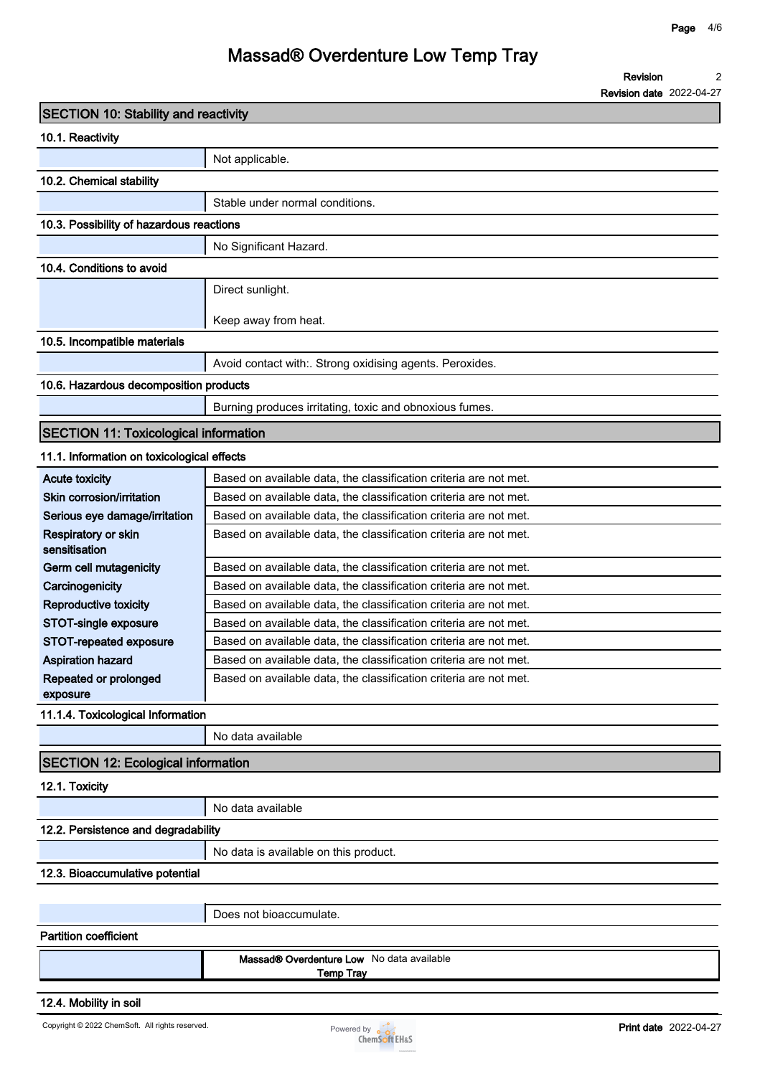**Revision 2**

**Revision date 2022-04-27**

| <b>SECTION 10: Stability and reactivity</b>  |                                                                   |
|----------------------------------------------|-------------------------------------------------------------------|
| 10.1. Reactivity                             |                                                                   |
|                                              | Not applicable.                                                   |
| 10.2. Chemical stability                     |                                                                   |
|                                              | Stable under normal conditions.                                   |
| 10.3. Possibility of hazardous reactions     |                                                                   |
|                                              | No Significant Hazard.                                            |
| 10.4. Conditions to avoid                    |                                                                   |
|                                              | Direct sunlight.                                                  |
|                                              |                                                                   |
|                                              | Keep away from heat.                                              |
| 10.5. Incompatible materials                 |                                                                   |
|                                              | Avoid contact with:. Strong oxidising agents. Peroxides.          |
| 10.6. Hazardous decomposition products       |                                                                   |
|                                              | Burning produces irritating, toxic and obnoxious fumes.           |
| <b>SECTION 11: Toxicological information</b> |                                                                   |
| 11.1. Information on toxicological effects   |                                                                   |
| <b>Acute toxicity</b>                        | Based on available data, the classification criteria are not met. |
| Skin corrosion/irritation                    | Based on available data, the classification criteria are not met. |
| Serious eye damage/irritation                | Based on available data, the classification criteria are not met. |
| Respiratory or skin<br>sensitisation         | Based on available data, the classification criteria are not met. |
| Germ cell mutagenicity                       | Based on available data, the classification criteria are not met. |
| Carcinogenicity                              | Based on available data, the classification criteria are not met. |
| <b>Reproductive toxicity</b>                 | Based on available data, the classification criteria are not met. |
| STOT-single exposure                         | Based on available data, the classification criteria are not met. |
| STOT-repeated exposure                       | Based on available data, the classification criteria are not met. |
| <b>Aspiration hazard</b>                     | Based on available data, the classification criteria are not met. |
| Repeated or prolonged<br>exposure            | Based on available data, the classification criteria are not met. |
| 11.1.4. Toxicological Information            |                                                                   |
|                                              | No data available                                                 |
| <b>SECTION 12: Ecological information</b>    |                                                                   |
| 12.1. Toxicity                               |                                                                   |
|                                              | No data available                                                 |
| 12.2. Persistence and degradability          |                                                                   |
|                                              | No data is available on this product.                             |
| 12.3. Bioaccumulative potential              |                                                                   |
|                                              |                                                                   |
|                                              | Does not bioaccumulate.                                           |
| <b>Partition coefficient</b>                 |                                                                   |
|                                              | Massad® Overdenture Low No data available<br><b>Temp Tray</b>     |
| 12.4. Mobility in soil                       |                                                                   |

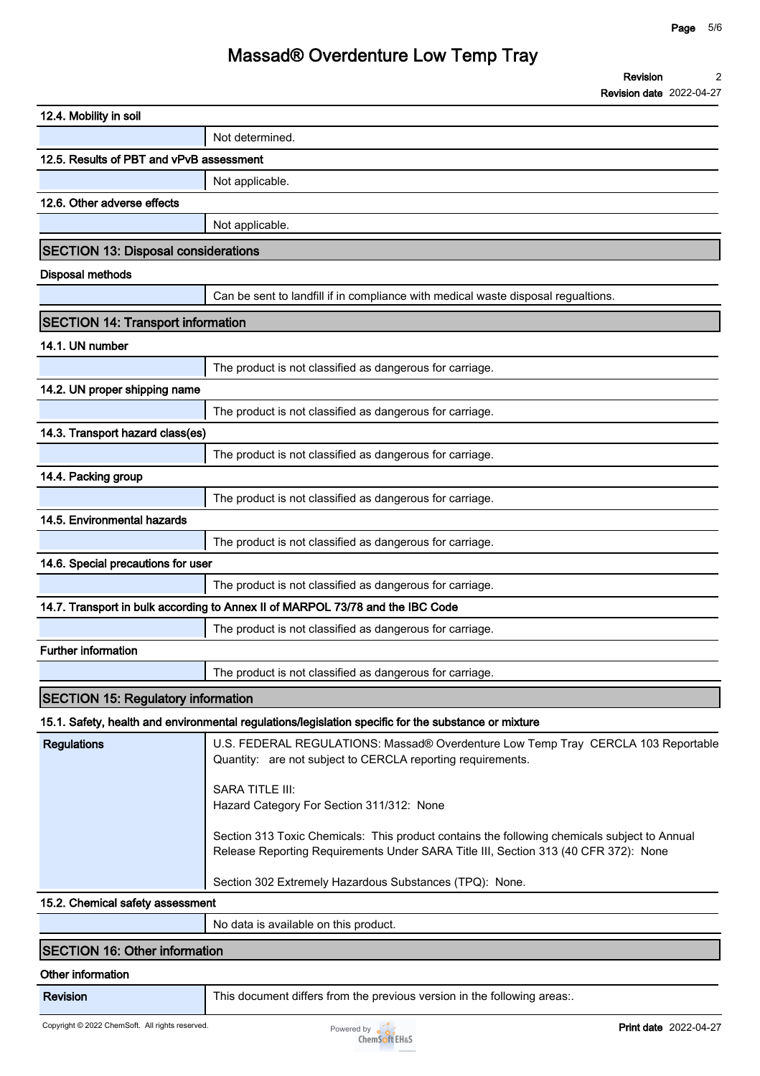| 12.4. Mobility in soil                     |                                                                                                                                                                                     |
|--------------------------------------------|-------------------------------------------------------------------------------------------------------------------------------------------------------------------------------------|
|                                            | Not determined.                                                                                                                                                                     |
| 12.5. Results of PBT and vPvB assessment   |                                                                                                                                                                                     |
|                                            | Not applicable.                                                                                                                                                                     |
| 12.6. Other adverse effects                |                                                                                                                                                                                     |
|                                            | Not applicable.                                                                                                                                                                     |
| <b>SECTION 13: Disposal considerations</b> |                                                                                                                                                                                     |
| <b>Disposal methods</b>                    |                                                                                                                                                                                     |
|                                            | Can be sent to landfill if in compliance with medical waste disposal regualtions.                                                                                                   |
| <b>SECTION 14: Transport information</b>   |                                                                                                                                                                                     |
| 14.1. UN number                            |                                                                                                                                                                                     |
|                                            | The product is not classified as dangerous for carriage.                                                                                                                            |
| 14.2. UN proper shipping name              |                                                                                                                                                                                     |
|                                            | The product is not classified as dangerous for carriage.                                                                                                                            |
| 14.3. Transport hazard class(es)           |                                                                                                                                                                                     |
|                                            | The product is not classified as dangerous for carriage.                                                                                                                            |
| 14.4. Packing group                        |                                                                                                                                                                                     |
|                                            | The product is not classified as dangerous for carriage.                                                                                                                            |
| 14.5. Environmental hazards                |                                                                                                                                                                                     |
|                                            | The product is not classified as dangerous for carriage.                                                                                                                            |
| 14.6. Special precautions for user         |                                                                                                                                                                                     |
|                                            | The product is not classified as dangerous for carriage.                                                                                                                            |
|                                            | 14.7. Transport in bulk according to Annex II of MARPOL 73/78 and the IBC Code                                                                                                      |
|                                            | The product is not classified as dangerous for carriage.                                                                                                                            |
| <b>Further information</b>                 |                                                                                                                                                                                     |
|                                            | $\overline{\phantom{a}}$<br>The product is not classified as dangerous for carriage.                                                                                                |
| <b>SECTION 15: Regulatory information</b>  |                                                                                                                                                                                     |
|                                            | 15.1. Safety, health and environmental regulations/legislation specific for the substance or mixture                                                                                |
| <b>Regulations</b>                         | U.S. FEDERAL REGULATIONS: Massad® Overdenture Low Temp Tray CERCLA 103 Reportable<br>Quantity: are not subject to CERCLA reporting requirements.                                    |
|                                            | SARA TITLE III:<br>Hazard Category For Section 311/312: None                                                                                                                        |
|                                            | Section 313 Toxic Chemicals: This product contains the following chemicals subject to Annual<br>Release Reporting Requirements Under SARA Title III, Section 313 (40 CFR 372): None |
|                                            | Section 302 Extremely Hazardous Substances (TPQ): None.                                                                                                                             |
| 15.2. Chemical safety assessment           |                                                                                                                                                                                     |
|                                            |                                                                                                                                                                                     |

#### **SECTION 16: Other information**

#### **Other information**

**Revision This document differs from the previous version in the following areas:.**